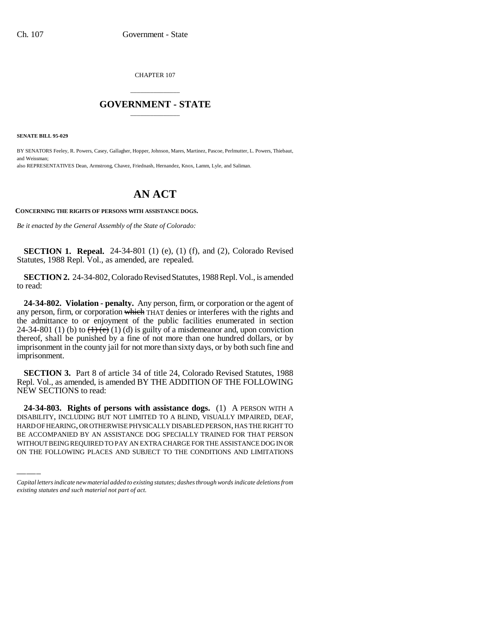CHAPTER 107

## \_\_\_\_\_\_\_\_\_\_\_\_\_\_\_ **GOVERNMENT - STATE** \_\_\_\_\_\_\_\_\_\_\_\_\_\_\_

**SENATE BILL 95-029**

BY SENATORS Feeley, R. Powers, Casey, Gallagher, Hopper, Johnson, Mares, Martinez, Pascoe, Perlmutter, L. Powers, Thiebaut, and Weissman; also REPRESENTATIVES Dean, Armstrong, Chavez, Friednash, Hernandez, Knox, Lamm, Lyle, and Saliman.

## **AN ACT**

**CONCERNING THE RIGHTS OF PERSONS WITH ASSISTANCE DOGS.**

*Be it enacted by the General Assembly of the State of Colorado:*

**SECTION 1. Repeal.** 24-34-801 (1) (e), (1) (f), and (2), Colorado Revised Statutes, 1988 Repl. Vol., as amended, are repealed.

**SECTION 2.** 24-34-802, Colorado Revised Statutes, 1988 Repl. Vol., is amended to read:

**24-34-802. Violation - penalty.** Any person, firm, or corporation or the agent of any person, firm, or corporation which THAT denies or interferes with the rights and the admittance to or enjoyment of the public facilities enumerated in section 24-34-801 (1) (b) to  $\left(\frac{1}{1}\right)\left(\frac{1}{1}\right)$  (d) is guilty of a misdemeanor and, upon conviction thereof, shall be punished by a fine of not more than one hundred dollars, or by imprisonment in the county jail for not more than sixty days, or by both such fine and imprisonment.

**SECTION 3.** Part 8 of article 34 of title 24, Colorado Revised Statutes, 1988 Repl. Vol., as amended, is amended BY THE ADDITION OF THE FOLLOWING NEW SECTIONS to read:

**24-54-605.** Kights of persons with assistance togs. (1) A FERSON WITH A DISABILITY, INCLUDING BUT NOT LIMITED TO A BLIND, VISUALLY IMPAIRED, DEAF, **24-34-803. Rights of persons with assistance dogs.** (1) A PERSON WITH A HARD OF HEARING, OR OTHERWISE PHYSICALLY DISABLED PERSON, HAS THE RIGHT TO BE ACCOMPANIED BY AN ASSISTANCE DOG SPECIALLY TRAINED FOR THAT PERSON WITHOUT BEING REQUIRED TO PAY AN EXTRA CHARGE FOR THE ASSISTANCE DOG IN OR ON THE FOLLOWING PLACES AND SUBJECT TO THE CONDITIONS AND LIMITATIONS

*Capital letters indicate new material added to existing statutes; dashes through words indicate deletions from existing statutes and such material not part of act.*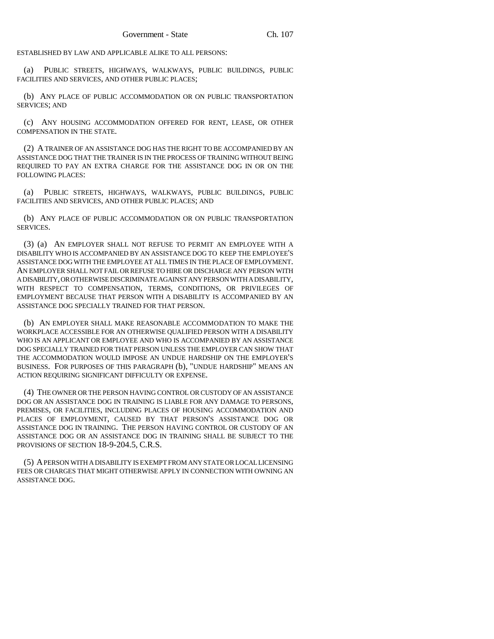ESTABLISHED BY LAW AND APPLICABLE ALIKE TO ALL PERSONS:

(a) PUBLIC STREETS, HIGHWAYS, WALKWAYS, PUBLIC BUILDINGS, PUBLIC FACILITIES AND SERVICES, AND OTHER PUBLIC PLACES;

(b) ANY PLACE OF PUBLIC ACCOMMODATION OR ON PUBLIC TRANSPORTATION SERVICES; AND

(c) ANY HOUSING ACCOMMODATION OFFERED FOR RENT, LEASE, OR OTHER COMPENSATION IN THE STATE.

(2) A TRAINER OF AN ASSISTANCE DOG HAS THE RIGHT TO BE ACCOMPANIED BY AN ASSISTANCE DOG THAT THE TRAINER IS IN THE PROCESS OF TRAINING WITHOUT BEING REQUIRED TO PAY AN EXTRA CHARGE FOR THE ASSISTANCE DOG IN OR ON THE FOLLOWING PLACES:

(a) PUBLIC STREETS, HIGHWAYS, WALKWAYS, PUBLIC BUILDINGS, PUBLIC FACILITIES AND SERVICES, AND OTHER PUBLIC PLACES; AND

(b) ANY PLACE OF PUBLIC ACCOMMODATION OR ON PUBLIC TRANSPORTATION SERVICES.

(3) (a) AN EMPLOYER SHALL NOT REFUSE TO PERMIT AN EMPLOYEE WITH A DISABILITY WHO IS ACCOMPANIED BY AN ASSISTANCE DOG TO KEEP THE EMPLOYEE'S ASSISTANCE DOG WITH THE EMPLOYEE AT ALL TIMES IN THE PLACE OF EMPLOYMENT. AN EMPLOYER SHALL NOT FAIL OR REFUSE TO HIRE OR DISCHARGE ANY PERSON WITH A DISABILITY, OR OTHERWISE DISCRIMINATE AGAINST ANY PERSON WITH A DISABILITY, WITH RESPECT TO COMPENSATION, TERMS, CONDITIONS, OR PRIVILEGES OF EMPLOYMENT BECAUSE THAT PERSON WITH A DISABILITY IS ACCOMPANIED BY AN ASSISTANCE DOG SPECIALLY TRAINED FOR THAT PERSON.

(b) AN EMPLOYER SHALL MAKE REASONABLE ACCOMMODATION TO MAKE THE WORKPLACE ACCESSIBLE FOR AN OTHERWISE QUALIFIED PERSON WITH A DISABILITY WHO IS AN APPLICANT OR EMPLOYEE AND WHO IS ACCOMPANIED BY AN ASSISTANCE DOG SPECIALLY TRAINED FOR THAT PERSON UNLESS THE EMPLOYER CAN SHOW THAT THE ACCOMMODATION WOULD IMPOSE AN UNDUE HARDSHIP ON THE EMPLOYER'S BUSINESS. FOR PURPOSES OF THIS PARAGRAPH (b), "UNDUE HARDSHIP" MEANS AN ACTION REQUIRING SIGNIFICANT DIFFICULTY OR EXPENSE.

(4) THE OWNER OR THE PERSON HAVING CONTROL OR CUSTODY OF AN ASSISTANCE DOG OR AN ASSISTANCE DOG IN TRAINING IS LIABLE FOR ANY DAMAGE TO PERSONS, PREMISES, OR FACILITIES, INCLUDING PLACES OF HOUSING ACCOMMODATION AND PLACES OF EMPLOYMENT, CAUSED BY THAT PERSON'S ASSISTANCE DOG OR ASSISTANCE DOG IN TRAINING. THE PERSON HAVING CONTROL OR CUSTODY OF AN ASSISTANCE DOG OR AN ASSISTANCE DOG IN TRAINING SHALL BE SUBJECT TO THE PROVISIONS OF SECTION 18-9-204.5, C.R.S.

(5) A PERSON WITH A DISABILITY IS EXEMPT FROM ANY STATE OR LOCAL LICENSING FEES OR CHARGES THAT MIGHT OTHERWISE APPLY IN CONNECTION WITH OWNING AN ASSISTANCE DOG.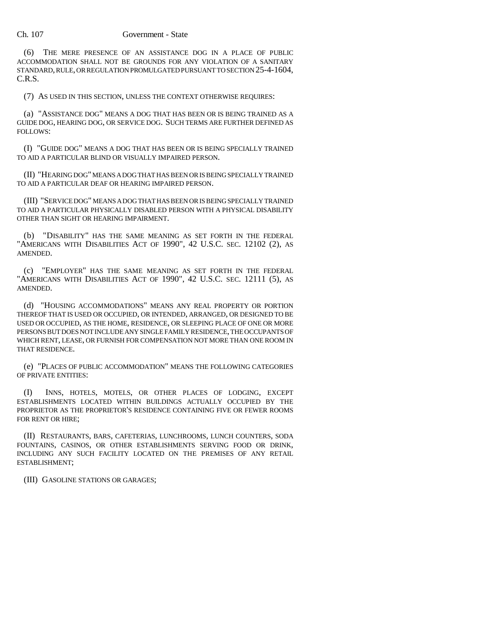(6) THE MERE PRESENCE OF AN ASSISTANCE DOG IN A PLACE OF PUBLIC ACCOMMODATION SHALL NOT BE GROUNDS FOR ANY VIOLATION OF A SANITARY STANDARD, RULE, OR REGULATION PROMULGATED PURSUANT TO SECTION 25-4-1604, C.R.S.

(7) AS USED IN THIS SECTION, UNLESS THE CONTEXT OTHERWISE REQUIRES:

(a) "ASSISTANCE DOG" MEANS A DOG THAT HAS BEEN OR IS BEING TRAINED AS A GUIDE DOG, HEARING DOG, OR SERVICE DOG. SUCH TERMS ARE FURTHER DEFINED AS FOLLOWS:

(I) "GUIDE DOG" MEANS A DOG THAT HAS BEEN OR IS BEING SPECIALLY TRAINED TO AID A PARTICULAR BLIND OR VISUALLY IMPAIRED PERSON.

(II) "HEARING DOG" MEANS A DOG THAT HAS BEEN OR IS BEING SPECIALLY TRAINED TO AID A PARTICULAR DEAF OR HEARING IMPAIRED PERSON.

(III) "SERVICE DOG" MEANS A DOG THAT HAS BEEN OR IS BEING SPECIALLY TRAINED TO AID A PARTICULAR PHYSICALLY DISABLED PERSON WITH A PHYSICAL DISABILITY OTHER THAN SIGHT OR HEARING IMPAIRMENT.

(b) "DISABILITY" HAS THE SAME MEANING AS SET FORTH IN THE FEDERAL "AMERICANS WITH DISABILITIES ACT OF 1990", 42 U.S.C. SEC. 12102 (2), AS AMENDED.

(c) "EMPLOYER" HAS THE SAME MEANING AS SET FORTH IN THE FEDERAL "AMERICANS WITH DISABILITIES ACT OF 1990", 42 U.S.C. SEC. 12111 (5), AS AMENDED.

(d) "HOUSING ACCOMMODATIONS" MEANS ANY REAL PROPERTY OR PORTION THEREOF THAT IS USED OR OCCUPIED, OR INTENDED, ARRANGED, OR DESIGNED TO BE USED OR OCCUPIED, AS THE HOME, RESIDENCE, OR SLEEPING PLACE OF ONE OR MORE PERSONS BUT DOES NOT INCLUDE ANY SINGLE FAMILY RESIDENCE, THE OCCUPANTS OF WHICH RENT, LEASE, OR FURNISH FOR COMPENSATION NOT MORE THAN ONE ROOM IN THAT RESIDENCE.

(e) "PLACES OF PUBLIC ACCOMMODATION" MEANS THE FOLLOWING CATEGORIES OF PRIVATE ENTITIES:

(I) INNS, HOTELS, MOTELS, OR OTHER PLACES OF LODGING, EXCEPT ESTABLISHMENTS LOCATED WITHIN BUILDINGS ACTUALLY OCCUPIED BY THE PROPRIETOR AS THE PROPRIETOR'S RESIDENCE CONTAINING FIVE OR FEWER ROOMS FOR RENT OR HIRE;

(II) RESTAURANTS, BARS, CAFETERIAS, LUNCHROOMS, LUNCH COUNTERS, SODA FOUNTAINS, CASINOS, OR OTHER ESTABLISHMENTS SERVING FOOD OR DRINK, INCLUDING ANY SUCH FACILITY LOCATED ON THE PREMISES OF ANY RETAIL ESTABLISHMENT;

(III) GASOLINE STATIONS OR GARAGES;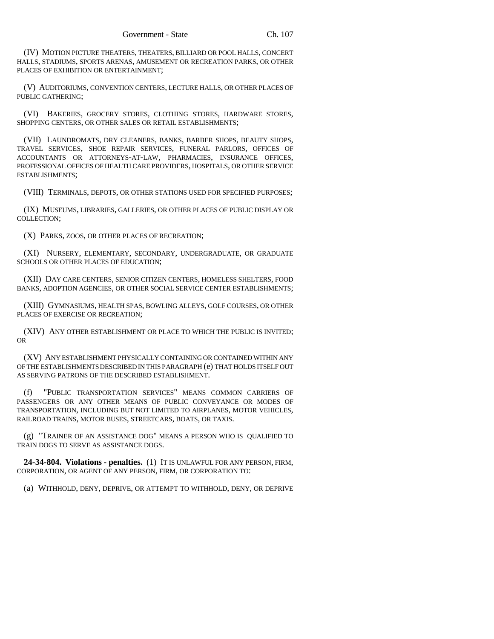(IV) MOTION PICTURE THEATERS, THEATERS, BILLIARD OR POOL HALLS, CONCERT HALLS, STADIUMS, SPORTS ARENAS, AMUSEMENT OR RECREATION PARKS, OR OTHER PLACES OF EXHIBITION OR ENTERTAINMENT;

(V) AUDITORIUMS, CONVENTION CENTERS, LECTURE HALLS, OR OTHER PLACES OF PUBLIC GATHERING;

(VI) BAKERIES, GROCERY STORES, CLOTHING STORES, HARDWARE STORES, SHOPPING CENTERS, OR OTHER SALES OR RETAIL ESTABLISHMENTS;

(VII) LAUNDROMATS, DRY CLEANERS, BANKS, BARBER SHOPS, BEAUTY SHOPS, TRAVEL SERVICES, SHOE REPAIR SERVICES, FUNERAL PARLORS, OFFICES OF ACCOUNTANTS OR ATTORNEYS-AT-LAW, PHARMACIES, INSURANCE OFFICES, PROFESSIONAL OFFICES OF HEALTH CARE PROVIDERS, HOSPITALS, OR OTHER SERVICE ESTABLISHMENTS;

(VIII) TERMINALS, DEPOTS, OR OTHER STATIONS USED FOR SPECIFIED PURPOSES;

(IX) MUSEUMS, LIBRARIES, GALLERIES, OR OTHER PLACES OF PUBLIC DISPLAY OR COLLECTION;

(X) PARKS, ZOOS, OR OTHER PLACES OF RECREATION;

(XI) NURSERY, ELEMENTARY, SECONDARY, UNDERGRADUATE, OR GRADUATE SCHOOLS OR OTHER PLACES OF EDUCATION;

(XII) DAY CARE CENTERS, SENIOR CITIZEN CENTERS, HOMELESS SHELTERS, FOOD BANKS, ADOPTION AGENCIES, OR OTHER SOCIAL SERVICE CENTER ESTABLISHMENTS;

(XIII) GYMNASIUMS, HEALTH SPAS, BOWLING ALLEYS, GOLF COURSES, OR OTHER PLACES OF EXERCISE OR RECREATION;

(XIV) ANY OTHER ESTABLISHMENT OR PLACE TO WHICH THE PUBLIC IS INVITED; OR

(XV) ANY ESTABLISHMENT PHYSICALLY CONTAINING OR CONTAINED WITHIN ANY OF THE ESTABLISHMENTS DESCRIBED IN THIS PARAGRAPH (e) THAT HOLDS ITSELF OUT AS SERVING PATRONS OF THE DESCRIBED ESTABLISHMENT.

(f) "PUBLIC TRANSPORTATION SERVICES" MEANS COMMON CARRIERS OF PASSENGERS OR ANY OTHER MEANS OF PUBLIC CONVEYANCE OR MODES OF TRANSPORTATION, INCLUDING BUT NOT LIMITED TO AIRPLANES, MOTOR VEHICLES, RAILROAD TRAINS, MOTOR BUSES, STREETCARS, BOATS, OR TAXIS.

(g) "TRAINER OF AN ASSISTANCE DOG" MEANS A PERSON WHO IS QUALIFIED TO TRAIN DOGS TO SERVE AS ASSISTANCE DOGS.

**24-34-804. Violations - penalties.** (1) IT IS UNLAWFUL FOR ANY PERSON, FIRM, CORPORATION, OR AGENT OF ANY PERSON, FIRM, OR CORPORATION TO:

(a) WITHHOLD, DENY, DEPRIVE, OR ATTEMPT TO WITHHOLD, DENY, OR DEPRIVE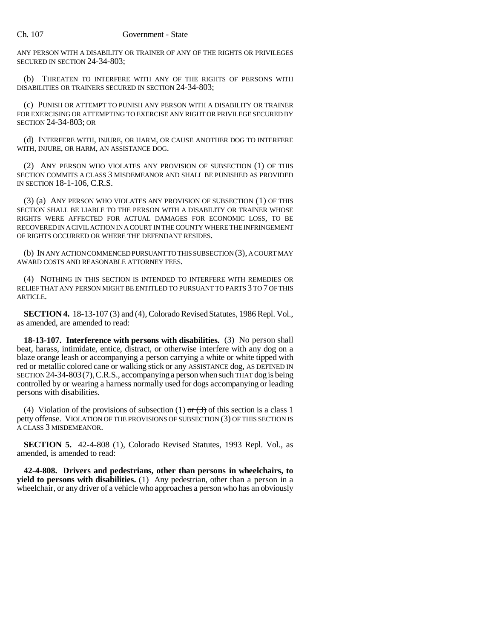ANY PERSON WITH A DISABILITY OR TRAINER OF ANY OF THE RIGHTS OR PRIVILEGES SECURED IN SECTION 24-34-803;

(b) THREATEN TO INTERFERE WITH ANY OF THE RIGHTS OF PERSONS WITH DISABILITIES OR TRAINERS SECURED IN SECTION 24-34-803;

(c) PUNISH OR ATTEMPT TO PUNISH ANY PERSON WITH A DISABILITY OR TRAINER FOR EXERCISING OR ATTEMPTING TO EXERCISE ANY RIGHT OR PRIVILEGE SECURED BY SECTION 24-34-803; OR

(d) INTERFERE WITH, INJURE, OR HARM, OR CAUSE ANOTHER DOG TO INTERFERE WITH, INJURE, OR HARM, AN ASSISTANCE DOG.

(2) ANY PERSON WHO VIOLATES ANY PROVISION OF SUBSECTION (1) OF THIS SECTION COMMITS A CLASS 3 MISDEMEANOR AND SHALL BE PUNISHED AS PROVIDED IN SECTION 18-1-106, C.R.S.

(3) (a) ANY PERSON WHO VIOLATES ANY PROVISION OF SUBSECTION (1) OF THIS SECTION SHALL BE LIABLE TO THE PERSON WITH A DISABILITY OR TRAINER WHOSE RIGHTS WERE AFFECTED FOR ACTUAL DAMAGES FOR ECONOMIC LOSS, TO BE RECOVERED IN A CIVIL ACTION IN A COURT IN THE COUNTY WHERE THE INFRINGEMENT OF RIGHTS OCCURRED OR WHERE THE DEFENDANT RESIDES.

(b) IN ANY ACTION COMMENCED PURSUANT TO THIS SUBSECTION (3), A COURT MAY AWARD COSTS AND REASONABLE ATTORNEY FEES.

(4) NOTHING IN THIS SECTION IS INTENDED TO INTERFERE WITH REMEDIES OR RELIEF THAT ANY PERSON MIGHT BE ENTITLED TO PURSUANT TO PARTS 3 TO 7 OF THIS ARTICLE.

**SECTION 4.** 18-13-107 (3) and (4), Colorado Revised Statutes, 1986 Repl. Vol., as amended, are amended to read:

**18-13-107. Interference with persons with disabilities.** (3) No person shall beat, harass, intimidate, entice, distract, or otherwise interfere with any dog on a blaze orange leash or accompanying a person carrying a white or white tipped with red or metallic colored cane or walking stick or any ASSISTANCE dog, AS DEFINED IN SECTION 24-34-803 (7), C.R.S., accompanying a person when such THAT dog is being controlled by or wearing a harness normally used for dogs accompanying or leading persons with disabilities.

(4) Violation of the provisions of subsection (1)  $\sigma$  (3) of this section is a class 1 petty offense. VIOLATION OF THE PROVISIONS OF SUBSECTION (3) OF THIS SECTION IS A CLASS 3 MISDEMEANOR.

**SECTION 5.** 42-4-808 (1), Colorado Revised Statutes, 1993 Repl. Vol., as amended, is amended to read:

**42-4-808. Drivers and pedestrians, other than persons in wheelchairs, to yield to persons with disabilities.** (1) Any pedestrian, other than a person in a wheelchair, or any driver of a vehicle who approaches a person who has an obviously